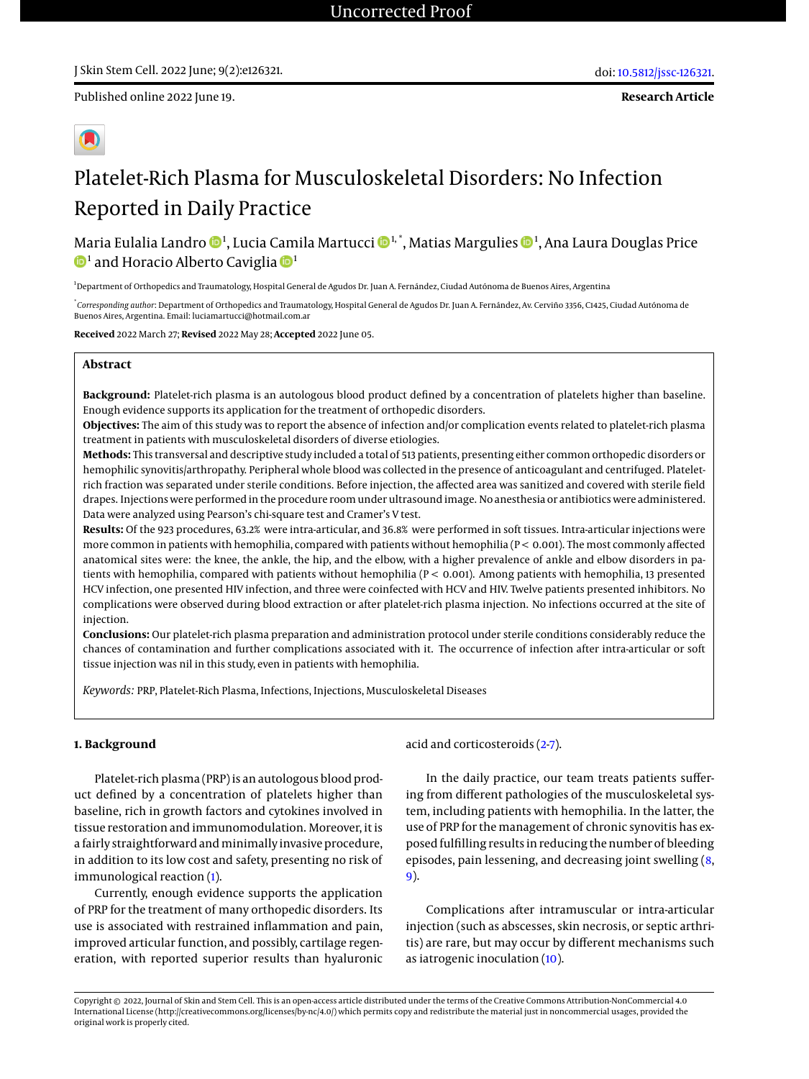Published online 2022 June 19.

**Research Article**

# Platelet-Rich Plasma for Musculoskeletal Disorders: No Infection Reported in Daily Practice

Maria Eulalia Landro �� , Lucia Camila Martucci �� ʰ. ̊, Matias Margulies �� ª, Ana Laura Douglas Price  $^{\rm 1}$  and Horacio Alberto Caviglia  $\rm 1\!\!\!D^{\rm 1}$ 

<sup>1</sup> Department of Orthopedics and Traumatology, Hospital General de Agudos Dr. Juan A. Fernández, Ciudad Autónoma de Buenos Aires, Argentina

\* *Corresponding author*: Department of Orthopedics and Traumatology, Hospital General de Agudos Dr. Juan A. Fernández, Av. Cerviño 3356, C1425, Ciudad Autónoma de Buenos Aires, Argentina. Email: luciamartucci@hotmail.com.ar

**Received** 2022 March 27; **Revised** 2022 May 28; **Accepted** 2022 June 05.

# **Abstract**

**Background:** Platelet-rich plasma is an autologous blood product defined by a concentration of platelets higher than baseline. Enough evidence supports its application for the treatment of orthopedic disorders.

**Objectives:** The aim of this study was to report the absence of infection and/or complication events related to platelet-rich plasma treatment in patients with musculoskeletal disorders of diverse etiologies.

**Methods:** This transversal and descriptive study included a total of 513 patients, presenting either common orthopedic disorders or hemophilic synovitis/arthropathy. Peripheral whole blood was collected in the presence of anticoagulant and centrifuged. Plateletrich fraction was separated under sterile conditions. Before injection, the affected area was sanitized and covered with sterile field drapes. Injections were performed in the procedure room under ultrasound image. No anesthesia or antibiotics were administered. Data were analyzed using Pearson's chi-square test and Cramer's V test.

**Results:** Of the 923 procedures, 63.2% were intra-articular, and 36.8% were performed in soft tissues. Intra-articular injections were more common in patients with hemophilia, compared with patients without hemophilia (P < 0.001). The most commonly affected anatomical sites were: the knee, the ankle, the hip, and the elbow, with a higher prevalence of ankle and elbow disorders in patients with hemophilia, compared with patients without hemophilia (P < 0.001). Among patients with hemophilia, 13 presented HCV infection, one presented HIV infection, and three were coinfected with HCV and HIV. Twelve patients presented inhibitors. No complications were observed during blood extraction or after platelet-rich plasma injection. No infections occurred at the site of injection.

**Conclusions:** Our platelet-rich plasma preparation and administration protocol under sterile conditions considerably reduce the chances of contamination and further complications associated with it. The occurrence of infection after intra-articular or soft tissue injection was nil in this study, even in patients with hemophilia.

*Keywords:* PRP, Platelet-Rich Plasma, Infections, Injections, Musculoskeletal Diseases

# **1. Background**

Platelet-rich plasma (PRP) is an autologous blood product defined by a concentration of platelets higher than baseline, rich in growth factors and cytokines involved in tissue restoration and immunomodulation. Moreover, it is a fairly straightforward and minimally invasive procedure, in addition to its low cost and safety, presenting no risk of immunological reaction [\(1\)](#page-4-0).

Currently, enough evidence supports the application of PRP for the treatment of many orthopedic disorders. Its use is associated with restrained inflammation and pain, improved articular function, and possibly, cartilage regeneration, with reported superior results than hyaluronic

acid and corticosteroids [\(2-](#page-4-1)[7\)](#page-4-2).

In the daily practice, our team treats patients suffering from different pathologies of the musculoskeletal system, including patients with hemophilia. In the latter, the use of PRP for the management of chronic synovitis has exposed fulfilling results in reducing the number of bleeding episodes, pain lessening, and decreasing joint swelling [\(8,](#page-4-3) [9\)](#page-4-4).

Complications after intramuscular or intra-articular injection (such as abscesses, skin necrosis, or septic arthritis) are rare, but may occur by different mechanisms such as iatrogenic inoculation [\(10\)](#page-4-5).

Copyright © 2022, Journal of Skin and Stem Cell. This is an open-access article distributed under the terms of the Creative Commons Attribution-NonCommercial 4.0 International License (http://creativecommons.org/licenses/by-nc/4.0/) which permits copy and redistribute the material just in noncommercial usages, provided the original work is properly cited.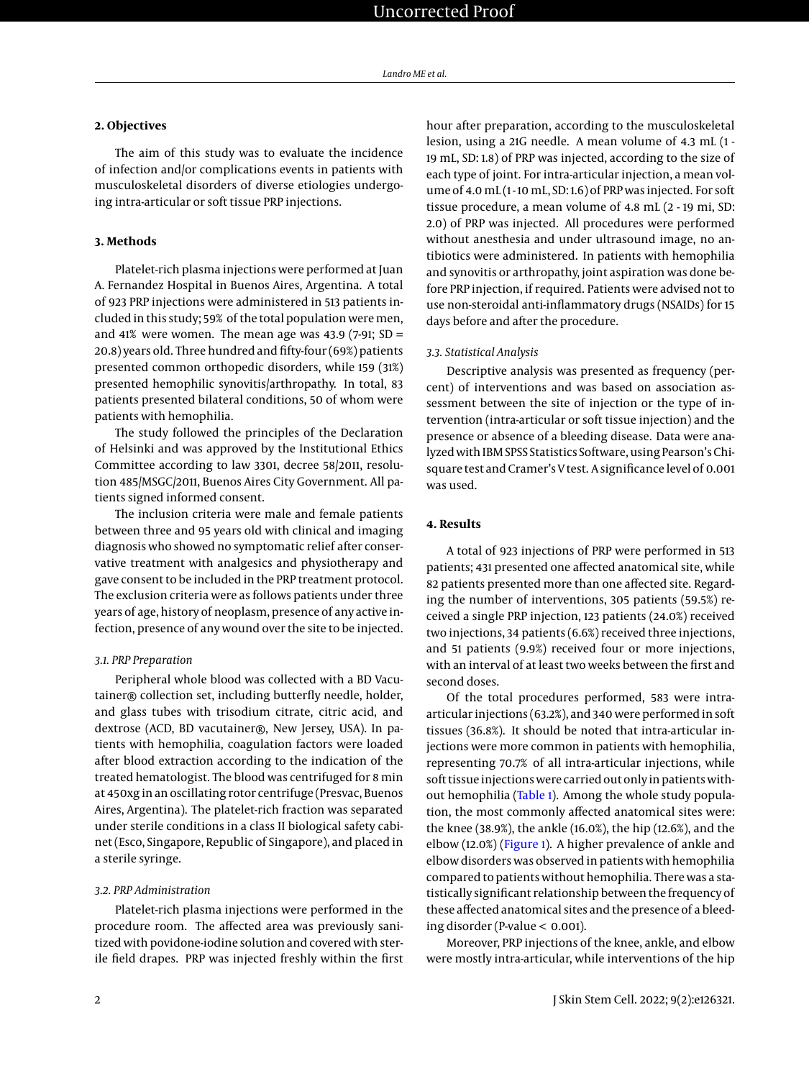### **2. Objectives**

The aim of this study was to evaluate the incidence of infection and/or complications events in patients with musculoskeletal disorders of diverse etiologies undergoing intra-articular or soft tissue PRP injections.

# **3. Methods**

Platelet-rich plasma injections were performed at Juan A. Fernandez Hospital in Buenos Aires, Argentina. A total of 923 PRP injections were administered in 513 patients included in this study; 59% of the total population were men, and 41% were women. The mean age was 43.9 (7-91;  $SD =$ 20.8) years old. Three hundred and fifty-four (69%) patients presented common orthopedic disorders, while 159 (31%) presented hemophilic synovitis/arthropathy. In total, 83 patients presented bilateral conditions, 50 of whom were patients with hemophilia.

The study followed the principles of the Declaration of Helsinki and was approved by the Institutional Ethics Committee according to law 3301, decree 58/2011, resolution 485/MSGC/2011, Buenos Aires City Government. All patients signed informed consent.

The inclusion criteria were male and female patients between three and 95 years old with clinical and imaging diagnosis who showed no symptomatic relief after conservative treatment with analgesics and physiotherapy and gave consent to be included in the PRP treatment protocol. The exclusion criteria were as follows patients under three years of age, history of neoplasm, presence of any active infection, presence of any wound over the site to be injected.

#### *3.1. PRP Preparation*

Peripheral whole blood was collected with a BD Vacutainer® collection set, including butterfly needle, holder, and glass tubes with trisodium citrate, citric acid, and dextrose (ACD, BD vacutainer®, New Jersey, USA). In patients with hemophilia, coagulation factors were loaded after blood extraction according to the indication of the treated hematologist. The blood was centrifuged for 8 min at 450xg in an oscillating rotor centrifuge (Presvac, Buenos Aires, Argentina). The platelet-rich fraction was separated under sterile conditions in a class II biological safety cabinet (Esco, Singapore, Republic of Singapore), and placed in a sterile syringe.

#### *3.2. PRP Administration*

Platelet-rich plasma injections were performed in the procedure room. The affected area was previously sanitized with povidone-iodine solution and covered with sterile field drapes. PRP was injected freshly within the first hour after preparation, according to the musculoskeletal lesion, using a 21G needle. A mean volume of 4.3 mL (1 - 19 mL, SD: 1.8) of PRP was injected, according to the size of each type of joint. For intra-articular injection, a mean volume of 4.0 mL (1-10 mL, SD:1.6) of PRP was injected. For soft tissue procedure, a mean volume of 4.8 mL (2 - 19 mi, SD: 2.0) of PRP was injected. All procedures were performed without anesthesia and under ultrasound image, no antibiotics were administered. In patients with hemophilia and synovitis or arthropathy, joint aspiration was done before PRP injection, if required. Patients were advised not to use non-steroidal anti-inflammatory drugs (NSAIDs) for 15 days before and after the procedure.

#### *3.3. Statistical Analysis*

Descriptive analysis was presented as frequency (percent) of interventions and was based on association assessment between the site of injection or the type of intervention (intra-articular or soft tissue injection) and the presence or absence of a bleeding disease. Data were analyzed with IBM SPSS Statistics Software, using Pearson's Chisquare test and Cramer's V test. A significance level of 0.001 was used.

#### **4. Results**

A total of 923 injections of PRP were performed in 513 patients; 431 presented one affected anatomical site, while 82 patients presented more than one affected site. Regarding the number of interventions, 305 patients (59.5%) received a single PRP injection, 123 patients (24.0%) received two injections, 34 patients (6.6%) received three injections, and 51 patients (9.9%) received four or more injections, with an interval of at least two weeks between the first and second doses.

Of the total procedures performed, 583 were intraarticular injections (63.2%), and 340 were performed in soft tissues (36.8%). It should be noted that intra-articular injections were more common in patients with hemophilia, representing 70.7% of all intra-articular injections, while soft tissue injections were carried out only in patients without hemophilia [\(Table 1\)](#page-2-0). Among the whole study population, the most commonly affected anatomical sites were: the knee (38.9%), the ankle (16.0%), the hip (12.6%), and the elbow (12.0%) [\(Figure 1\)](#page-3-0). A higher prevalence of ankle and elbow disorders was observed in patients with hemophilia compared to patients without hemophilia. There was a statistically significant relationship between the frequency of these affected anatomical sites and the presence of a bleeding disorder (P-value < 0.001).

Moreover, PRP injections of the knee, ankle, and elbow were mostly intra-articular, while interventions of the hip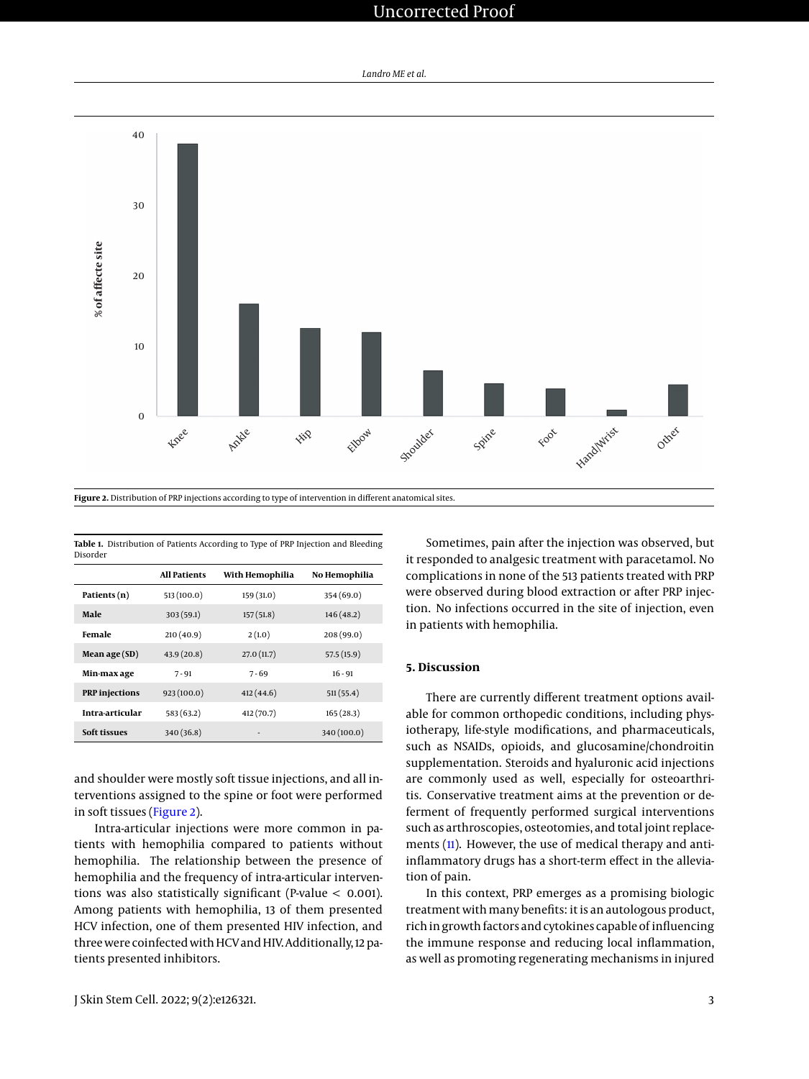# Uncorrected Proof

*Landro ME et al.*

<span id="page-2-1"></span>

<span id="page-2-0"></span>**Table 1.** Distribution of Patients According to Type of PRP Injection and Bleeding Disorder

|                       | <b>All Patients</b> | With Hemophilia | No Hemophilia |
|-----------------------|---------------------|-----------------|---------------|
| Patients (n)          | 513 (100.0)         | 159(31.0)       | 354 (69.0)    |
| Male                  | 303(59.1)           | 157(51.8)       | 146(48.2)     |
| Female                | 210(40.9)           | 2(1.0)          | 208(99.0)     |
| Mean age (SD)         | 43.9(20.8)          | 27.0(11.7)      | 57.5 (15.9)   |
| Min-max age           | $7 - 91$            | 7-69            | $16 - 91$     |
| <b>PRP</b> injections | 923(100.0)          | 412(44.6)       | 511(55.4)     |
| Intra-articular       | 583(63.2)           | 412 (70.7)      | 165(28.3)     |
| Soft tissues          | 340(36.8)           |                 | 340 (100.0)   |

and shoulder were mostly soft tissue injections, and all interventions assigned to the spine or foot were performed in soft tissues [\(Figure 2\)](#page-2-1).

Intra-articular injections were more common in patients with hemophilia compared to patients without hemophilia. The relationship between the presence of hemophilia and the frequency of intra-articular interventions was also statistically significant (P-value < 0.001). Among patients with hemophilia, 13 of them presented HCV infection, one of them presented HIV infection, and three were coinfected with HCV and HIV. Additionally, 12 patients presented inhibitors.

J Skin Stem Cell. 2022; 9(2):e126321. 3

Sometimes, pain after the injection was observed, but it responded to analgesic treatment with paracetamol. No complications in none of the 513 patients treated with PRP were observed during blood extraction or after PRP injection. No infections occurred in the site of injection, even in patients with hemophilia.

# **5. Discussion**

There are currently different treatment options available for common orthopedic conditions, including physiotherapy, life-style modifications, and pharmaceuticals, such as NSAIDs, opioids, and glucosamine/chondroitin supplementation. Steroids and hyaluronic acid injections are commonly used as well, especially for osteoarthritis. Conservative treatment aims at the prevention or deferment of frequently performed surgical interventions such as arthroscopies, osteotomies, and total joint replace-ments [\(11\)](#page-4-6). However, the use of medical therapy and antiinflammatory drugs has a short-term effect in the alleviation of pain.

In this context, PRP emerges as a promising biologic treatment with many benefits: it is an autologous product, rich in growth factors and cytokines capable of influencing the immune response and reducing local inflammation, as well as promoting regenerating mechanisms in injured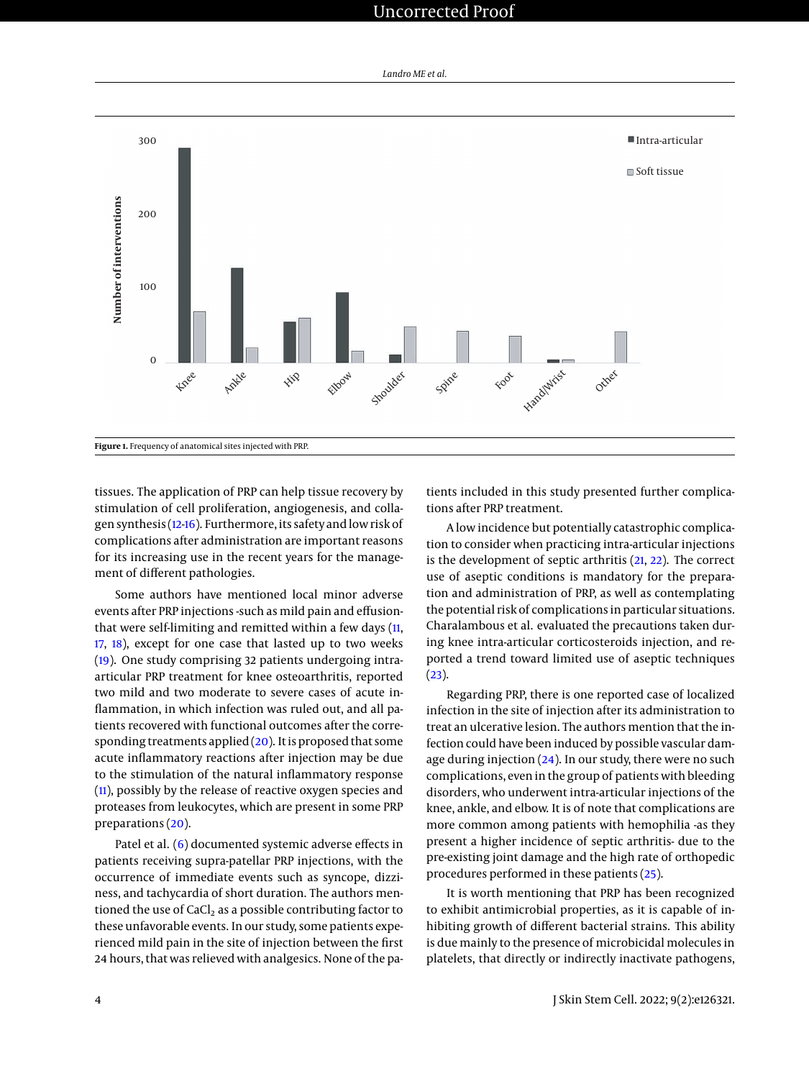# Uncorrected Proof

*Landro ME et al.*

<span id="page-3-0"></span>

tissues. The application of PRP can help tissue recovery by stimulation of cell proliferation, angiogenesis, and collagen synthesis [\(12](#page-4-7)[-16\)](#page-5-0). Furthermore, its safety and low risk of complications after administration are important reasons for its increasing use in the recent years for the management of different pathologies.

Some authors have mentioned local minor adverse events after PRP injections -such as mild pain and effusionthat were self-limiting and remitted within a few days [\(11,](#page-4-6) [17,](#page-5-1) [18\)](#page-5-2), except for one case that lasted up to two weeks [\(19\)](#page-5-3). One study comprising 32 patients undergoing intraarticular PRP treatment for knee osteoarthritis, reported two mild and two moderate to severe cases of acute inflammation, in which infection was ruled out, and all patients recovered with functional outcomes after the corresponding treatments applied  $(20)$ . It is proposed that some acute inflammatory reactions after injection may be due to the stimulation of the natural inflammatory response [\(11\)](#page-4-6), possibly by the release of reactive oxygen species and proteases from leukocytes, which are present in some PRP preparations [\(20\)](#page-5-4).

Patel et al. [\(6\)](#page-4-8) documented systemic adverse effects in patients receiving supra-patellar PRP injections, with the occurrence of immediate events such as syncope, dizziness, and tachycardia of short duration. The authors mentioned the use of  $CaCl<sub>2</sub>$  as a possible contributing factor to these unfavorable events. In our study, some patients experienced mild pain in the site of injection between the first 24 hours, that was relieved with analgesics. None of the patients included in this study presented further complications after PRP treatment.

A low incidence but potentially catastrophic complication to consider when practicing intra-articular injections is the development of septic arthritis [\(21,](#page-5-5) [22\)](#page-5-6). The correct use of aseptic conditions is mandatory for the preparation and administration of PRP, as well as contemplating the potential risk of complications in particular situations. Charalambous et al. evaluated the precautions taken during knee intra-articular corticosteroids injection, and reported a trend toward limited use of aseptic techniques  $(23).$  $(23).$ 

Regarding PRP, there is one reported case of localized infection in the site of injection after its administration to treat an ulcerative lesion. The authors mention that the infection could have been induced by possible vascular damage during injection [\(24\)](#page-5-8). In our study, there were no such complications, even in the group of patients with bleeding disorders, who underwent intra-articular injections of the knee, ankle, and elbow. It is of note that complications are more common among patients with hemophilia -as they present a higher incidence of septic arthritis- due to the pre-existing joint damage and the high rate of orthopedic procedures performed in these patients [\(25\)](#page-5-9).

It is worth mentioning that PRP has been recognized to exhibit antimicrobial properties, as it is capable of inhibiting growth of different bacterial strains. This ability is due mainly to the presence of microbicidal molecules in platelets, that directly or indirectly inactivate pathogens,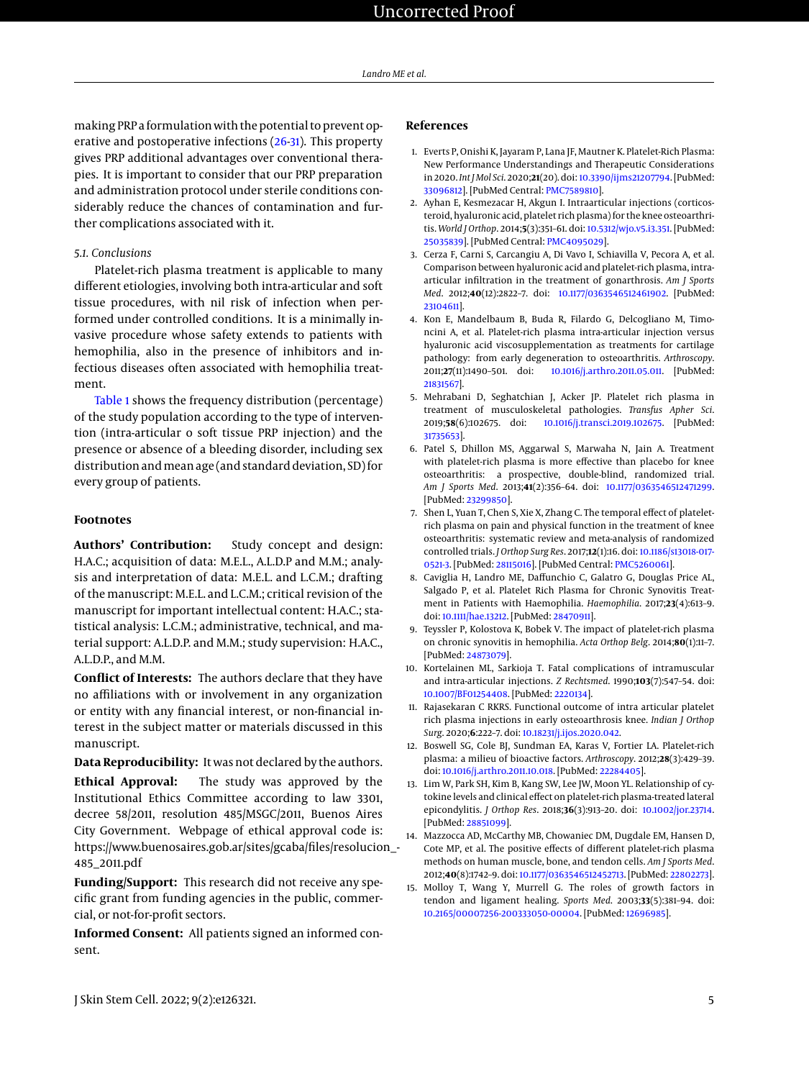making PRP a formulation with the potential to prevent operative and postoperative infections [\(26](#page-5-10)[-31\)](#page-5-11). This property gives PRP additional advantages over conventional therapies. It is important to consider that our PRP preparation and administration protocol under sterile conditions considerably reduce the chances of contamination and further complications associated with it.

# *5.1. Conclusions*

Platelet-rich plasma treatment is applicable to many different etiologies, involving both intra-articular and soft tissue procedures, with nil risk of infection when performed under controlled conditions. It is a minimally invasive procedure whose safety extends to patients with hemophilia, also in the presence of inhibitors and infectious diseases often associated with hemophilia treatment.

[Table 1](#page-2-0) shows the frequency distribution (percentage) of the study population according to the type of intervention (intra-articular o soft tissue PRP injection) and the presence or absence of a bleeding disorder, including sex distribution and mean age (and standard deviation, SD) for every group of patients.

# **Footnotes**

**Authors' Contribution:** Study concept and design: H.A.C.; acquisition of data: M.E.L., A.L.D.P and M.M.; analysis and interpretation of data: M.E.L. and L.C.M.; drafting of the manuscript: M.E.L. and L.C.M.; critical revision of the manuscript for important intellectual content: H.A.C.; statistical analysis: L.C.M.; administrative, technical, and material support: A.L.D.P. and M.M.; study supervision: H.A.C., A.L.D.P., and M.M.

**Conflict of Interests:** The authors declare that they have no affiliations with or involvement in any organization or entity with any financial interest, or non-financial interest in the subject matter or materials discussed in this manuscript.

**Data Reproducibility:** It was not declared by the authors. **Ethical Approval:** The study was approved by the Institutional Ethics Committee according to law 3301, decree 58/2011, resolution 485/MSGC/2011, Buenos Aires City Government. Webpage of ethical approval code is: https://www.buenosaires.gob.ar/sites/gcaba/files/resolucion\_- 485\_2011.pdf

**Funding/Support:** This research did not receive any specific grant from funding agencies in the public, commercial, or not-for-profit sectors.

**Informed Consent:** All patients signed an informed consent.

# **References**

- <span id="page-4-0"></span>1. Everts P, Onishi K, Jayaram P, Lana JF, Mautner K. Platelet-Rich Plasma: New Performance Understandings and Therapeutic Considerations in 2020. *Int J Mol Sci*. 2020;**21**(20). doi: [10.3390/ijms21207794.](http://dx.doi.org/10.3390/ijms21207794) [PubMed: [33096812\]](http://www.ncbi.nlm.nih.gov/pubmed/33096812). [PubMed Central: [PMC7589810\]](https://www.ncbi.nlm.nih.gov/pmc/articles/PMC7589810).
- <span id="page-4-1"></span>2. Ayhan E, Kesmezacar H, Akgun I. Intraarticular injections (corticosteroid, hyaluronic acid, platelet rich plasma) for the knee osteoarthritis. *World J Orthop*. 2014;**5**(3):351–61. doi: [10.5312/wjo.v5.i3.351.](http://dx.doi.org/10.5312/wjo.v5.i3.351) [PubMed: [25035839\]](http://www.ncbi.nlm.nih.gov/pubmed/25035839). [PubMed Central: [PMC4095029\]](https://www.ncbi.nlm.nih.gov/pmc/articles/PMC4095029).
- 3. Cerza F, Carni S, Carcangiu A, Di Vavo I, Schiavilla V, Pecora A, et al. Comparison between hyaluronic acid and platelet-rich plasma, intraarticular infiltration in the treatment of gonarthrosis. *Am J Sports Med*. 2012;**40**(12):2822–7. doi: [10.1177/0363546512461902.](http://dx.doi.org/10.1177/0363546512461902) [PubMed: [23104611\]](http://www.ncbi.nlm.nih.gov/pubmed/23104611).
- 4. Kon E, Mandelbaum B, Buda R, Filardo G, Delcogliano M, Timoncini A, et al. Platelet-rich plasma intra-articular injection versus hyaluronic acid viscosupplementation as treatments for cartilage pathology: from early degeneration to osteoarthritis. *Arthroscopy*. 2011;**27**(11):1490–501. doi: [10.1016/j.arthro.2011.05.011.](http://dx.doi.org/10.1016/j.arthro.2011.05.011) [PubMed: [21831567\]](http://www.ncbi.nlm.nih.gov/pubmed/21831567).
- 5. Mehrabani D, Seghatchian J, Acker JP. Platelet rich plasma in treatment of musculoskeletal pathologies. *Transfus Apher Sci*. 2019;**58**(6):102675. doi: [10.1016/j.transci.2019.102675.](http://dx.doi.org/10.1016/j.transci.2019.102675) [PubMed: [31735653\]](http://www.ncbi.nlm.nih.gov/pubmed/31735653).
- <span id="page-4-8"></span>6. Patel S, Dhillon MS, Aggarwal S, Marwaha N, Jain A. Treatment with platelet-rich plasma is more effective than placebo for knee osteoarthritis: a prospective, double-blind, randomized trial. *Am J Sports Med*. 2013;**41**(2):356–64. doi: [10.1177/0363546512471299.](http://dx.doi.org/10.1177/0363546512471299) [PubMed: [23299850\]](http://www.ncbi.nlm.nih.gov/pubmed/23299850).
- <span id="page-4-2"></span>7. Shen L, Yuan T, Chen S, Xie X, Zhang C. The temporal effect of plateletrich plasma on pain and physical function in the treatment of knee osteoarthritis: systematic review and meta-analysis of randomized controlled trials. *J Orthop Surg Res*. 2017;**12**(1):16. doi: [10.1186/s13018-017-](http://dx.doi.org/10.1186/s13018-017-0521-3) [0521-3.](http://dx.doi.org/10.1186/s13018-017-0521-3) [PubMed: [28115016\]](http://www.ncbi.nlm.nih.gov/pubmed/28115016). [PubMed Central: [PMC5260061\]](https://www.ncbi.nlm.nih.gov/pmc/articles/PMC5260061).
- <span id="page-4-3"></span>8. Caviglia H, Landro ME, Daffunchio C, Galatro G, Douglas Price AL, Salgado P, et al. Platelet Rich Plasma for Chronic Synovitis Treatment in Patients with Haemophilia. *Haemophilia*. 2017;**23**(4):613–9. doi: [10.1111/hae.13212.](http://dx.doi.org/10.1111/hae.13212) [PubMed: [28470911\]](http://www.ncbi.nlm.nih.gov/pubmed/28470911).
- <span id="page-4-4"></span>9. Teyssler P, Kolostova K, Bobek V. The impact of platelet-rich plasma on chronic synovitis in hemophilia. *Acta Orthop Belg*. 2014;**80**(1):11–7. [PubMed: [24873079\]](http://www.ncbi.nlm.nih.gov/pubmed/24873079).
- <span id="page-4-5"></span>10. Kortelainen ML, Sarkioja T. Fatal complications of intramuscular and intra-articular injections. *Z Rechtsmed*. 1990;**103**(7):547–54. doi: [10.1007/BF01254408.](http://dx.doi.org/10.1007/BF01254408) [PubMed: [2220134\]](http://www.ncbi.nlm.nih.gov/pubmed/2220134).
- <span id="page-4-6"></span>11. Rajasekaran C RKRS. Functional outcome of intra articular platelet rich plasma injections in early osteoarthrosis knee. *Indian J Orthop Surg*. 2020;**6**:222–7. doi: [10.18231/j.ijos.2020.042.](http://dx.doi.org/10.18231/j.ijos.2020.042)
- <span id="page-4-7"></span>12. Boswell SG, Cole BJ, Sundman EA, Karas V, Fortier LA. Platelet-rich plasma: a milieu of bioactive factors. *Arthroscopy*. 2012;**28**(3):429–39. doi: [10.1016/j.arthro.2011.10.018.](http://dx.doi.org/10.1016/j.arthro.2011.10.018) [PubMed: [22284405\]](http://www.ncbi.nlm.nih.gov/pubmed/22284405).
- 13. Lim W, Park SH, Kim B, Kang SW, Lee JW, Moon YL. Relationship of cytokine levels and clinical effect on platelet-rich plasma-treated lateral epicondylitis. *J Orthop Res*. 2018;**36**(3):913–20. doi: [10.1002/jor.23714.](http://dx.doi.org/10.1002/jor.23714) [PubMed: [28851099\]](http://www.ncbi.nlm.nih.gov/pubmed/28851099).
- 14. Mazzocca AD, McCarthy MB, Chowaniec DM, Dugdale EM, Hansen D, Cote MP, et al. The positive effects of different platelet-rich plasma methods on human muscle, bone, and tendon cells. *Am J Sports Med*. 2012;**40**(8):1742–9. doi: [10.1177/0363546512452713.](http://dx.doi.org/10.1177/0363546512452713) [PubMed: [22802273\]](http://www.ncbi.nlm.nih.gov/pubmed/22802273).
- 15. Molloy T, Wang Y, Murrell G. The roles of growth factors in tendon and ligament healing. *Sports Med*. 2003;**33**(5):381–94. doi: [10.2165/00007256-200333050-00004.](http://dx.doi.org/10.2165/00007256-200333050-00004) [PubMed: [12696985\]](http://www.ncbi.nlm.nih.gov/pubmed/12696985).